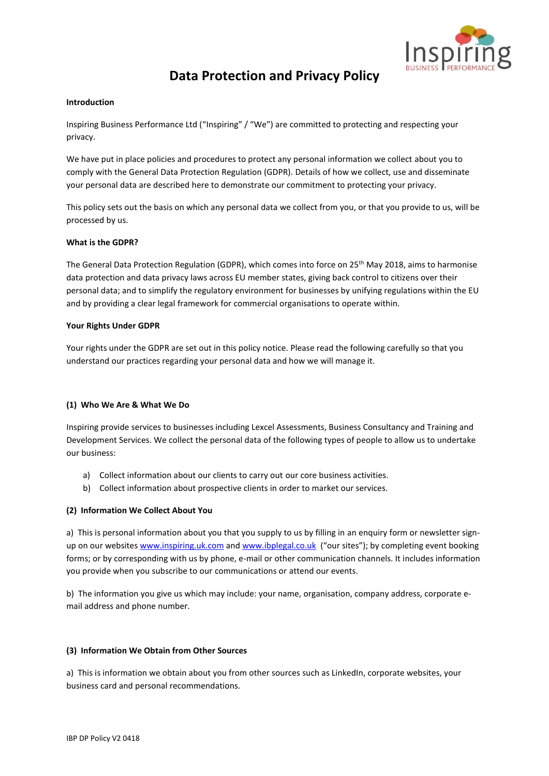

# **Data Protection and Privacy Policy**

#### **Introduction**

Inspiring Business Performance Ltd ("Inspiring" / "We") are committed to protecting and respecting your privacy.

We have put in place policies and procedures to protect any personal information we collect about you to comply with the General Data Protection Regulation (GDPR). Details of how we collect, use and disseminate your personal data are described here to demonstrate our commitment to protecting your privacy.

This policy sets out the basis on which any personal data we collect from you, or that you provide to us, will be processed by us.

#### **What is the GDPR?**

The General Data Protection Regulation (GDPR), which comes into force on 25th May 2018, aims to harmonise data protection and data privacy laws across EU member states, giving back control to citizens over their personal data; and to simplify the regulatory environment for businesses by unifying regulations within the EU and by providing a clear legal framework for commercial organisations to operate within.

#### **Your Rights Under GDPR**

Your rights under the GDPR are set out in this policy notice. Please read the following carefully so that you understand our practices regarding your personal data and how we will manage it.

## **(1) Who We Are & What We Do**

Inspiring provide services to businesses including Lexcel Assessments, Business Consultancy and Training and Development Services. We collect the personal data of the following types of people to allow us to undertake our business:

- a) Collect information about our clients to carry out our core business activities.
- b) Collect information about prospective clients in order to market our services.

## **(2) Information We Collect About You**

a) This is personal information about you that you supply to us by filling in an enquiry form or newsletter signup on our websites [www.inspiring.uk.com](http://www.inspiring.uk.com/) and [www.ibplegal.co.uk](http://www.ibplegal.co.uk/) ("our sites"); by completing event booking forms; or by corresponding with us by phone, e-mail or other communication channels. It includes information you provide when you subscribe to our communications or attend our events.

b) The information you give us which may include: your name, organisation, company address, corporate email address and phone number.

## **(3) Information We Obtain from Other Sources**

a) This is information we obtain about you from other sources such as LinkedIn, corporate websites, your business card and personal recommendations.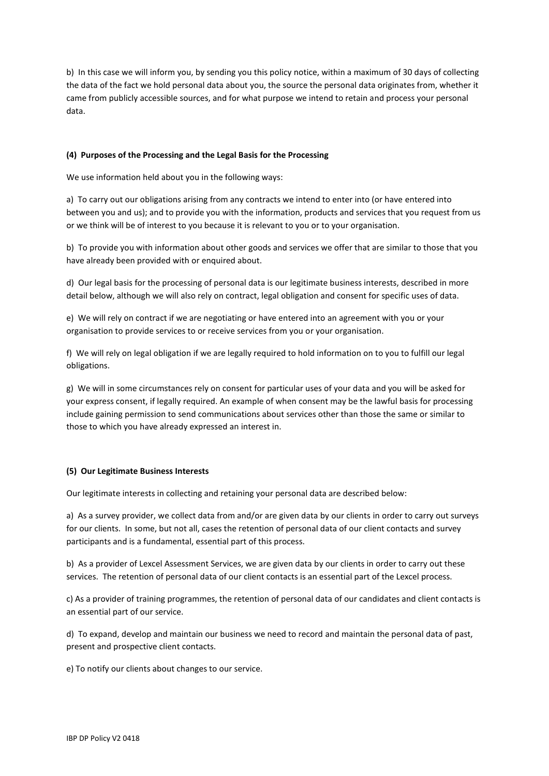b) In this case we will inform you, by sending you this policy notice, within a maximum of 30 days of collecting the data of the fact we hold personal data about you, the source the personal data originates from, whether it came from publicly accessible sources, and for what purpose we intend to retain and process your personal data.

## **(4) Purposes of the Processing and the Legal Basis for the Processing**

We use information held about you in the following ways:

a) To carry out our obligations arising from any contracts we intend to enter into (or have entered into between you and us); and to provide you with the information, products and services that you request from us or we think will be of interest to you because it is relevant to you or to your organisation.

b) To provide you with information about other goods and services we offer that are similar to those that you have already been provided with or enquired about.

d) Our legal basis for the processing of personal data is our legitimate business interests, described in more detail below, although we will also rely on contract, legal obligation and consent for specific uses of data.

e) We will rely on contract if we are negotiating or have entered into an agreement with you or your organisation to provide services to or receive services from you or your organisation.

f) We will rely on legal obligation if we are legally required to hold information on to you to fulfill our legal obligations.

g) We will in some circumstances rely on consent for particular uses of your data and you will be asked for your express consent, if legally required. An example of when consent may be the lawful basis for processing include gaining permission to send communications about services other than those the same or similar to those to which you have already expressed an interest in.

## **(5) Our Legitimate Business Interests**

Our legitimate interests in collecting and retaining your personal data are described below:

a) As a survey provider, we collect data from and/or are given data by our clients in order to carry out surveys for our clients. In some, but not all, cases the retention of personal data of our client contacts and survey participants and is a fundamental, essential part of this process.

b) As a provider of Lexcel Assessment Services, we are given data by our clients in order to carry out these services. The retention of personal data of our client contacts is an essential part of the Lexcel process.

c) As a provider of training programmes, the retention of personal data of our candidates and client contacts is an essential part of our service.

d) To expand, develop and maintain our business we need to record and maintain the personal data of past, present and prospective client contacts.

e) To notify our clients about changes to our service.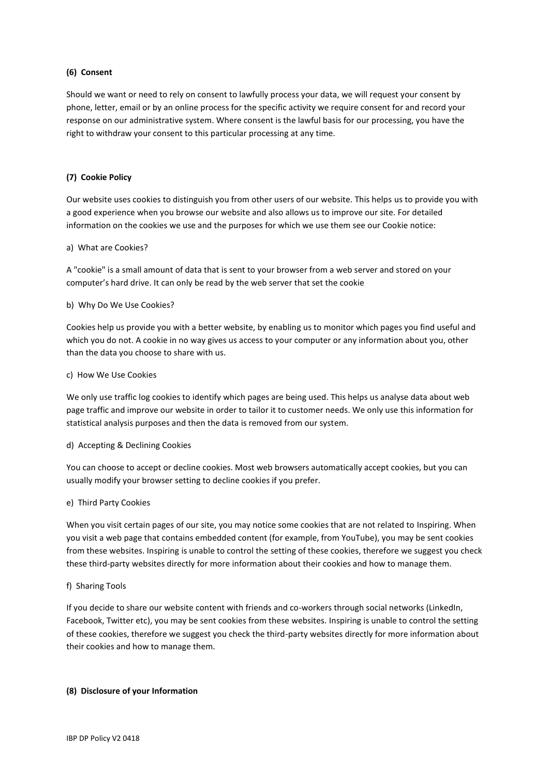# **(6) Consent**

Should we want or need to rely on consent to lawfully process your data, we will request your consent by phone, letter, email or by an online process for the specific activity we require consent for and record your response on our administrative system. Where consent is the lawful basis for our processing, you have the right to withdraw your consent to this particular processing at any time.

## **(7) Cookie Policy**

Our website uses cookies to distinguish you from other users of our website. This helps us to provide you with a good experience when you browse our website and also allows us to improve our site. For detailed information on the cookies we use and the purposes for which we use them see our Cookie notice:

#### a) What are Cookies?

A "cookie" is a small amount of data that is sent to your browser from a web server and stored on your computer's hard drive. It can only be read by the web server that set the cookie

## b) Why Do We Use Cookies?

Cookies help us provide you with a better website, by enabling us to monitor which pages you find useful and which you do not. A cookie in no way gives us access to your computer or any information about you, other than the data you choose to share with us.

#### c) How We Use Cookies

We only use traffic log cookies to identify which pages are being used. This helps us analyse data about web page traffic and improve our website in order to tailor it to customer needs. We only use this information for statistical analysis purposes and then the data is removed from our system.

## d) Accepting & Declining Cookies

You can choose to accept or decline cookies. Most web browsers automatically accept cookies, but you can usually modify your browser setting to decline cookies if you prefer.

## e) Third Party Cookies

When you visit certain pages of our site, you may notice some cookies that are not related to Inspiring. When you visit a web page that contains embedded content (for example, from YouTube), you may be sent cookies from these websites. Inspiring is unable to control the setting of these cookies, therefore we suggest you check these third-party websites directly for more information about their cookies and how to manage them.

## f) Sharing Tools

If you decide to share our website content with friends and co-workers through social networks (LinkedIn, Facebook, Twitter etc), you may be sent cookies from these websites. Inspiring is unable to control the setting of these cookies, therefore we suggest you check the third-party websites directly for more information about their cookies and how to manage them.

## **(8) Disclosure of your Information**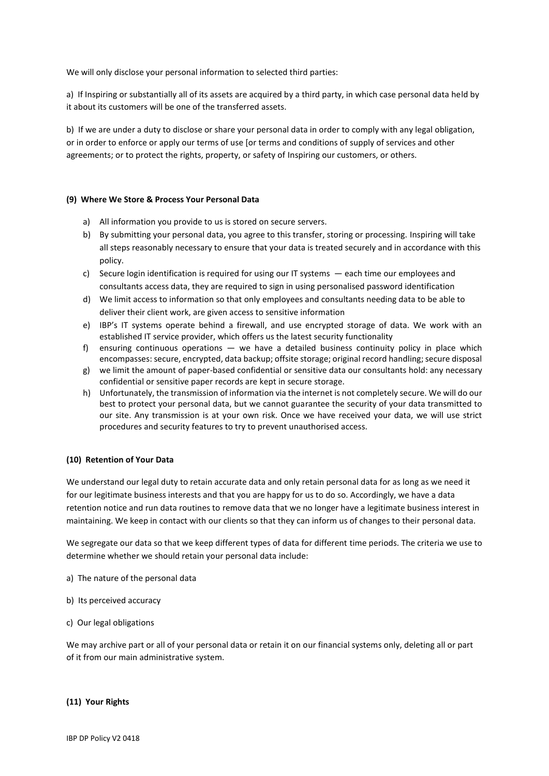We will only disclose your personal information to selected third parties:

a) If Inspiring or substantially all of its assets are acquired by a third party, in which case personal data held by it about its customers will be one of the transferred assets.

b) If we are under a duty to disclose or share your personal data in order to comply with any legal obligation, or in order to enforce or apply our terms of use [or terms and conditions of supply of services and other agreements; or to protect the rights, property, or safety of Inspiring our customers, or others.

#### **(9) Where We Store & Process Your Personal Data**

- a) All information you provide to us is stored on secure servers.
- b) By submitting your personal data, you agree to this transfer, storing or processing. Inspiring will take all steps reasonably necessary to ensure that your data is treated securely and in accordance with this policy.
- c) Secure login identification is required for using our IT systems each time our employees and consultants access data, they are required to sign in using personalised password identification
- d) We limit access to information so that only employees and consultants needing data to be able to deliver their client work, are given access to sensitive information
- e) IBP's IT systems operate behind a firewall, and use encrypted storage of data. We work with an established IT service provider, which offers us the latest security functionality
- f) ensuring continuous operations we have a detailed business continuity policy in place which encompasses: secure, encrypted, data backup; offsite storage; original record handling; secure disposal
- g) we limit the amount of paper-based confidential or sensitive data our consultants hold: any necessary confidential or sensitive paper records are kept in secure storage.
- h) Unfortunately, the transmission of information via the internet is not completely secure. We will do our best to protect your personal data, but we cannot guarantee the security of your data transmitted to our site. Any transmission is at your own risk. Once we have received your data, we will use strict procedures and security features to try to prevent unauthorised access.

#### **(10) Retention of Your Data**

We understand our legal duty to retain accurate data and only retain personal data for as long as we need it for our legitimate business interests and that you are happy for us to do so. Accordingly, we have a data retention notice and run data routines to remove data that we no longer have a legitimate business interest in maintaining. We keep in contact with our clients so that they can inform us of changes to their personal data.

We segregate our data so that we keep different types of data for different time periods. The criteria we use to determine whether we should retain your personal data include:

- a) The nature of the personal data
- b) Its perceived accuracy
- c) Our legal obligations

We may archive part or all of your personal data or retain it on our financial systems only, deleting all or part of it from our main administrative system.

#### **(11) Your Rights**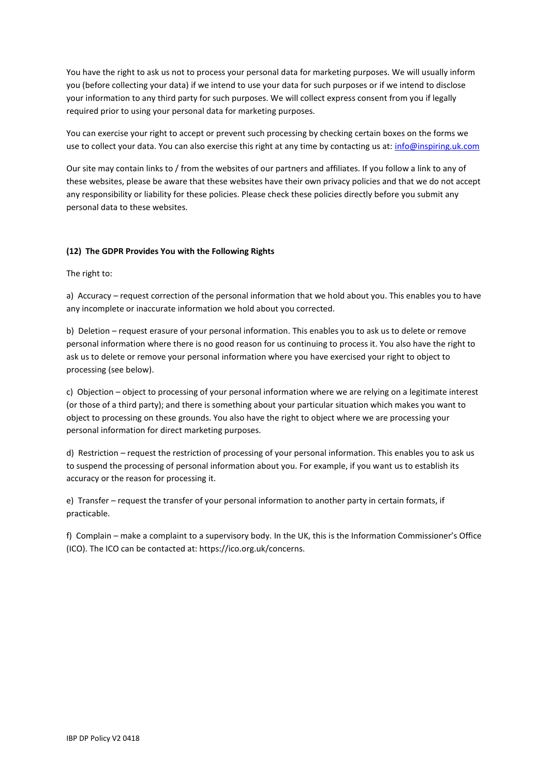You have the right to ask us not to process your personal data for marketing purposes. We will usually inform you (before collecting your data) if we intend to use your data for such purposes or if we intend to disclose your information to any third party for such purposes. We will collect express consent from you if legally required prior to using your personal data for marketing purposes.

You can exercise your right to accept or prevent such processing by checking certain boxes on the forms we use to collect your data. You can also exercise this right at any time by contacting us at: [info@inspiring.uk.com](mailto:info@inspiring.uk.com)

Our site may contain links to / from the websites of our partners and affiliates. If you follow a link to any of these websites, please be aware that these websites have their own privacy policies and that we do not accept any responsibility or liability for these policies. Please check these policies directly before you submit any personal data to these websites.

## **(12) The GDPR Provides You with the Following Rights**

The right to:

a) Accuracy – request correction of the personal information that we hold about you. This enables you to have any incomplete or inaccurate information we hold about you corrected.

b) Deletion – request erasure of your personal information. This enables you to ask us to delete or remove personal information where there is no good reason for us continuing to process it. You also have the right to ask us to delete or remove your personal information where you have exercised your right to object to processing (see below).

c) Objection – object to processing of your personal information where we are relying on a legitimate interest (or those of a third party); and there is something about your particular situation which makes you want to object to processing on these grounds. You also have the right to object where we are processing your personal information for direct marketing purposes.

d) Restriction – request the restriction of processing of your personal information. This enables you to ask us to suspend the processing of personal information about you. For example, if you want us to establish its accuracy or the reason for processing it.

e) Transfer – request the transfer of your personal information to another party in certain formats, if practicable.

f) Complain – make a complaint to a supervisory body. In the UK, this is the Information Commissioner's Office (ICO). The ICO can be contacted at: https://ico.org.uk/concerns.